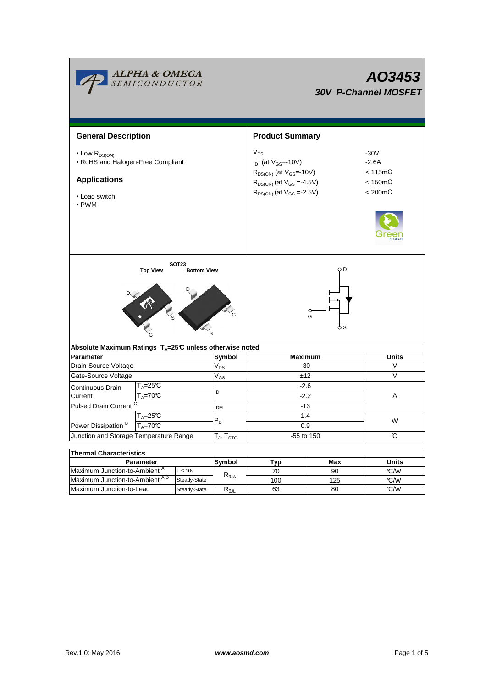| <b>ALPHA &amp; OMEGA</b><br>SEMICONDUCTOR                                                                                |        | AO3453<br><b>30V P-Channel MOSFET</b> |                                                                                                                                                        |                                                                                                 |              |  |  |  |
|--------------------------------------------------------------------------------------------------------------------------|--------|---------------------------------------|--------------------------------------------------------------------------------------------------------------------------------------------------------|-------------------------------------------------------------------------------------------------|--------------|--|--|--|
| <b>General Description</b>                                                                                               |        |                                       | <b>Product Summary</b>                                                                                                                                 |                                                                                                 |              |  |  |  |
| $\bullet$ Low $R_{DS(ON)}$<br>• RoHS and Halogen-Free Compliant<br><b>Applications</b><br>• Load switch<br>$\bullet$ PWM |        |                                       | $V_{DS}$<br>$I_D$ (at $V_{GS}$ =-10V)<br>$R_{DS(ON)}$ (at $V_{GS}$ =-10V)<br>$R_{DS(ON)}$ (at $V_{GS} = 4.5V$ )<br>$R_{DS(ON)}$ (at $V_{GS} = -2.5V$ ) | $-30V$<br>$-2.6A$<br>$< 115 \text{m}\Omega$<br>$< 150 \text{m}\Omega$<br>$< 200 \text{m}\Omega$ |              |  |  |  |
| <b>SOT23</b><br><b>Top View</b><br><b>Bottom View</b><br><b>CALL</b>                                                     |        |                                       | O D<br>O<br>G<br>5 S                                                                                                                                   |                                                                                                 |              |  |  |  |
| Absolute Maximum Ratings $T_A=25^\circ \text{C}$ unless otherwise noted<br>Parameter                                     | Symbol | <b>Maximum</b>                        | <b>Units</b>                                                                                                                                           |                                                                                                 |              |  |  |  |
| Drain-Source Voltage                                                                                                     |        | $V_{DS}$                              | $-30$                                                                                                                                                  |                                                                                                 | V            |  |  |  |
| Gate-Source Voltage                                                                                                      |        | $V_{GS}$                              | ±12                                                                                                                                                    |                                                                                                 | $\vee$       |  |  |  |
| T <sub>A</sub> =25℃<br>Continuous Drain                                                                                  |        |                                       | $-2.6$<br>$-2.2$                                                                                                                                       |                                                                                                 |              |  |  |  |
| $T_A = 70^\circ C$<br>Current                                                                                            |        | I <sub>D</sub>                        |                                                                                                                                                        |                                                                                                 | A            |  |  |  |
| <b>Pulsed Drain Current</b>                                                                                              |        | $I_{DM}$                              | $-13$                                                                                                                                                  |                                                                                                 |              |  |  |  |
| $T_A = 25C$                                                                                                              |        |                                       | 1.4<br>0.9                                                                                                                                             |                                                                                                 |              |  |  |  |
| $T_A = 70^\circ C$<br>Power Dissipation <sup>B</sup>                                                                     |        | $P_D$                                 |                                                                                                                                                        |                                                                                                 | W            |  |  |  |
| Junction and Storage Temperature Range                                                                                   |        | $T_J$ , $T_{STG}$                     | -55 to 150                                                                                                                                             |                                                                                                 | C            |  |  |  |
|                                                                                                                          |        |                                       |                                                                                                                                                        |                                                                                                 |              |  |  |  |
| <b>Thermal Characteristics</b>                                                                                           |        |                                       |                                                                                                                                                        |                                                                                                 |              |  |  |  |
| Parameter<br>Maximum Junction-to-Ambient A<br>$t \leq 10s$                                                               |        | Symbol                                | Typ                                                                                                                                                    | Max                                                                                             | <b>Units</b> |  |  |  |
| Maximum Junction-to-Ambient AD<br>Steady-State                                                                           |        | $\mathsf{R}_{\theta\mathsf{JA}}$      | 70<br>100                                                                                                                                              | 90<br>125                                                                                       | °C/W<br>°C/W |  |  |  |

Steady-State R<sub>θJL</sub>

Maximum Junction-to-Lead Steady-State R<sub>6JL</sub> 63 80 C/W

63

80

 $\overline{\phantom{a}}$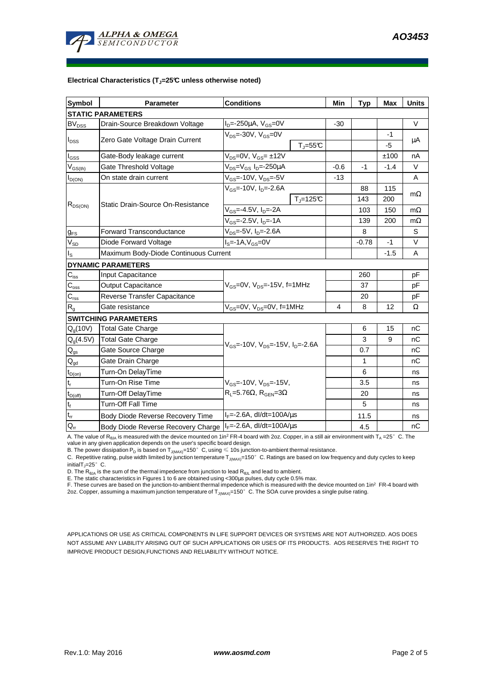#### **Electrical Characteristics (TJ=25°C unless otherwise noted)**

| <b>Symbol</b>                 | <b>Parameter</b>                                                 | <b>Conditions</b>                                       | Min    | <b>Typ</b> | Max    | <b>Units</b> |  |  |  |  |
|-------------------------------|------------------------------------------------------------------|---------------------------------------------------------|--------|------------|--------|--------------|--|--|--|--|
| <b>STATIC PARAMETERS</b>      |                                                                  |                                                         |        |            |        |              |  |  |  |  |
| <b>BV<sub>DSS</sub></b>       | Drain-Source Breakdown Voltage                                   | $I_{D} = -250 \mu A$ , $V_{GS} = 0V$                    | $-30$  |            |        | V            |  |  |  |  |
| $I_{DSS}$                     | Zero Gate Voltage Drain Current                                  | $V_{DS}$ =-30V, $V_{GS}$ =0V                            |        |            | $-1$   | μA           |  |  |  |  |
|                               |                                                                  | $T_{\parallel} = 55$ °C                                 |        |            | -5     |              |  |  |  |  |
| l <sub>GSS</sub>              | Gate-Body leakage current                                        | $V_{DS} = 0V$ , $V_{GS} = \pm 12V$                      |        |            | ±100   | nA           |  |  |  |  |
| $V_{GS(th)}$                  | Gate Threshold Voltage                                           | V <sub>DS</sub> =V <sub>GS</sub> I <sub>D</sub> =-250µA | $-0.6$ | -1         | $-1.4$ | V            |  |  |  |  |
| $I_{D(ON)}$                   | $V_{GS}$ =-10V, $V_{DS}$ =-5V<br>On state drain current          |                                                         | $-13$  |            |        | A            |  |  |  |  |
| $R_{DS(ON)}$                  | Static Drain-Source On-Resistance                                | $V_{GS}$ =-10V, $I_{D}$ =-2.6A                          |        | 88         | 115    | $m\Omega$    |  |  |  |  |
|                               |                                                                  | $T_i = 125C$                                            |        | 143        | 200    |              |  |  |  |  |
|                               |                                                                  | $V_{GS} = -4.5V$ , $I_D = -2A$                          |        | 103        | 150    | $m\Omega$    |  |  |  |  |
|                               |                                                                  | $V_{GS}$ =-2.5V, $I_{D}$ =-1A                           |        | 139        | 200    | $m\Omega$    |  |  |  |  |
| $g_{FS}$                      | $V_{DS}$ =-5V, $I_{D}$ =-2.6A<br><b>Forward Transconductance</b> |                                                         |        | 8          |        | S            |  |  |  |  |
| $V_{SD}$                      | Diode Forward Voltage<br>$IS=-1A, VGS=0V$                        |                                                         |        | $-0.78$    | $-1$   | $\vee$       |  |  |  |  |
| Is                            | Maximum Body-Diode Continuous Current                            |                                                         |        |            | $-1.5$ | A            |  |  |  |  |
|                               | <b>DYNAMIC PARAMETERS</b>                                        |                                                         |        |            |        |              |  |  |  |  |
| $C_{iss}$                     | Input Capacitance                                                |                                                         |        | 260        |        | рF           |  |  |  |  |
| $C_{\rm oss}$                 | Output Capacitance                                               | V <sub>GS</sub> =0V, V <sub>DS</sub> =-15V, f=1MHz      |        | 37         |        | pF           |  |  |  |  |
| $C_{\rm rss}$                 | Reverse Transfer Capacitance                                     |                                                         |        | 20         |        | pF           |  |  |  |  |
| R <sub>g</sub>                | Gate resistance                                                  | $V_{GS}$ =0V, $V_{DS}$ =0V, f=1MHz                      | 4      | 8          | 12     | Ω            |  |  |  |  |
|                               | <b>SWITCHING PARAMETERS</b>                                      |                                                         |        |            |        |              |  |  |  |  |
| $Q_q(10V)$                    | Total Gate Charge                                                |                                                         |        | 6          | 15     | nC           |  |  |  |  |
| $Q_q(4.5V)$                   | <b>Total Gate Charge</b>                                         | $V_{GS}$ =-10V, $V_{DS}$ =-15V, $I_{D}$ =-2.6A          |        | 3          | 9      | nC           |  |  |  |  |
| $\mathsf{Q}_{\mathsf{gs}}$    | Gate Source Charge                                               |                                                         |        | 0.7        |        | nC           |  |  |  |  |
| $Q_{gd}$                      | Gate Drain Charge                                                |                                                         |        | 1          |        | nC           |  |  |  |  |
| $t_{D(0n)}$                   | Turn-On DelayTime                                                |                                                         |        | 6          |        | ns           |  |  |  |  |
| $\mathfrak{t}_{\mathsf{r}}$   | Turn-On Rise Time                                                | $V_{GS}$ =-10V, $V_{DS}$ =-15V,                         |        | 3.5        |        | ns           |  |  |  |  |
| $t_{D(off)}$                  | $R_L = 5.76\Omega$ , $R_{GEN} = 3\Omega$<br>Turn-Off DelayTime   |                                                         |        | 20         |        | ns           |  |  |  |  |
| $\mathfrak{t}_{\mathfrak{f}}$ | Turn-Off Fall Time                                               |                                                         |        | 5          |        | ns           |  |  |  |  |
| $\mathfrak{t}_{\mathsf{rr}}$  | Body Diode Reverse Recovery Time                                 | $I_F = -2.6A$ , dl/dt=100A/ $\mu$ s                     |        | 11.5       |        | ns           |  |  |  |  |
| $Q_{rr}$                      | Body Diode Reverse Recovery Charge   IF=-2.6A, dl/dt=100A/us     |                                                         |        | 4.5        |        | nC           |  |  |  |  |

A. The value of R<sub>eJA</sub> is measured with the device mounted on 1in<sup>2</sup> FR-4 board with 2oz. Copper, in a still air environment with T<sub>A</sub> =25° C. The<br>value in any given application depends on the user's specific board design

C. Repetitive rating, pulse width limited by junction temperature T<sub>J(MAX)</sub>=150°C. Ratings are based on low frequency and duty cycles to keep initialT<sub>J</sub>=25 $^{\circ}$  C.

D. The  $R_{\theta JA}$  is the sum of the thermal impedence from junction to lead  $R_{\theta JL}$  and lead to ambient.

E. The static characteristics in Figures 1 to 6 are obtained using <300µs pulses, duty cycle 0.5% max.

F. These curves are based on the junction-to-ambient thermal impedence which is measured with the device mounted on 1in<sup>2</sup> FR-4 board with 2oz. Copper, assuming a maximum junction temperature of  $T_{J(MAX)}$ =150°C. The SOA curve provides a single pulse rating.

APPLICATIONS OR USE AS CRITICAL COMPONENTS IN LIFE SUPPORT DEVICES OR SYSTEMS ARE NOT AUTHORIZED. AOS DOES NOT ASSUME ANY LIABILITY ARISING OUT OF SUCH APPLICATIONS OR USES OF ITS PRODUCTS. AOS RESERVES THE RIGHT TO IMPROVE PRODUCT DESIGN,FUNCTIONS AND RELIABILITY WITHOUT NOTICE.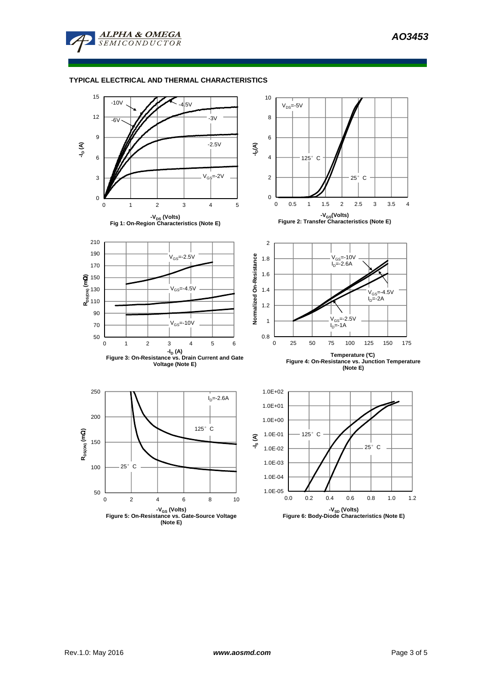

## **TYPICAL ELECTRICAL AND THERMAL CHARACTERISTICS**

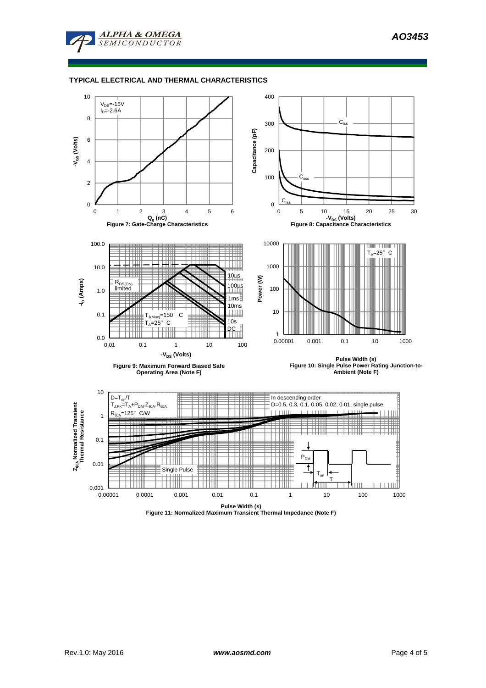

## **TYPICAL ELECTRICAL AND THERMAL CHARACTERISTICS**